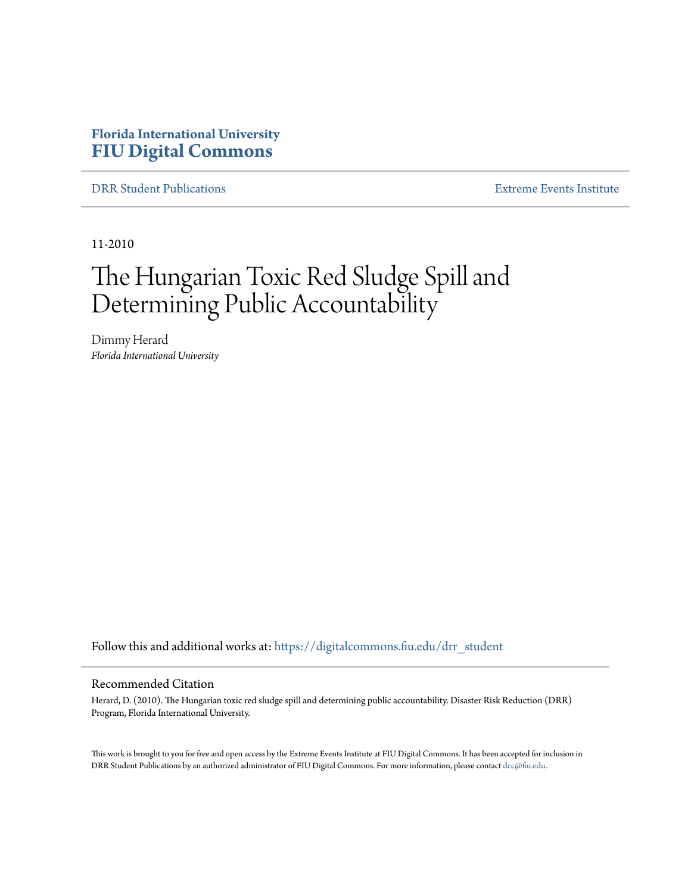## **Florida International University [FIU Digital Commons](https://digitalcommons.fiu.edu?utm_source=digitalcommons.fiu.edu%2Fdrr_student%2F6&utm_medium=PDF&utm_campaign=PDFCoverPages)**

[DRR Student Publications](https://digitalcommons.fiu.edu/drr_student?utm_source=digitalcommons.fiu.edu%2Fdrr_student%2F6&utm_medium=PDF&utm_campaign=PDFCoverPages) [Extreme Events Institute](https://digitalcommons.fiu.edu/drr?utm_source=digitalcommons.fiu.edu%2Fdrr_student%2F6&utm_medium=PDF&utm_campaign=PDFCoverPages)

11-2010

# The Hungarian Toxic Red Sludge Spill and Determining Public Accountability

Dimmy Herard *Florida International University*

Follow this and additional works at: [https://digitalcommons.fiu.edu/drr\\_student](https://digitalcommons.fiu.edu/drr_student?utm_source=digitalcommons.fiu.edu%2Fdrr_student%2F6&utm_medium=PDF&utm_campaign=PDFCoverPages)

#### Recommended Citation

Herard, D. (2010). The Hungarian toxic red sludge spill and determining public accountability. Disaster Risk Reduction (DRR) Program, Florida International University.

This work is brought to you for free and open access by the Extreme Events Institute at FIU Digital Commons. It has been accepted for inclusion in DRR Student Publications by an authorized administrator of FIU Digital Commons. For more information, please contact [dcc@fiu.edu](mailto:dcc@fiu.edu).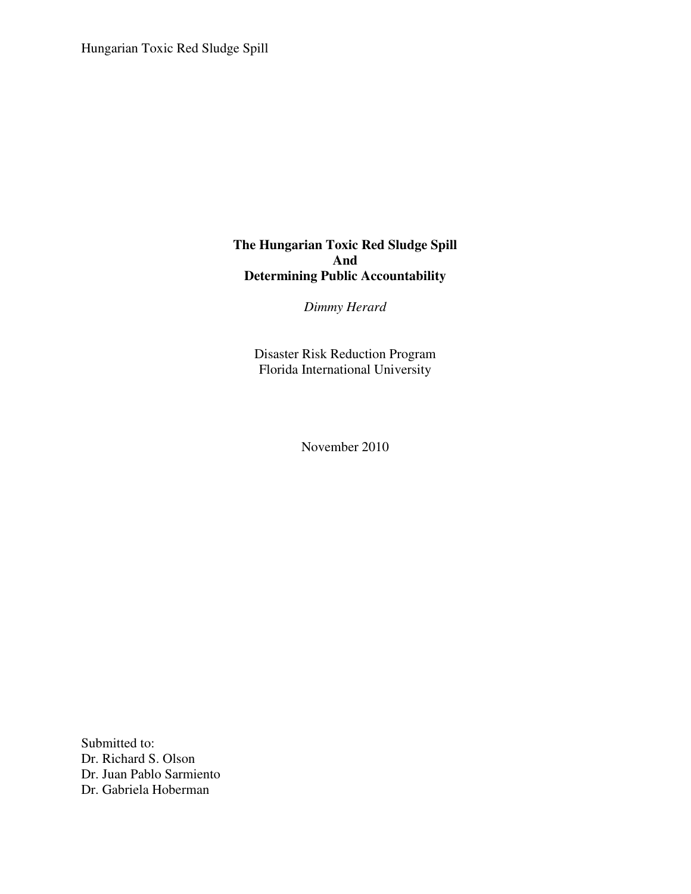## **The Hungarian Toxic Red Sludge Spill And Determining Public Accountability**

*Dimmy Herard* 

Disaster Risk Reduction Program Florida International University

November 2010

Submitted to: Dr. Richard S. Olson Dr. Juan Pablo Sarmiento Dr. Gabriela Hoberman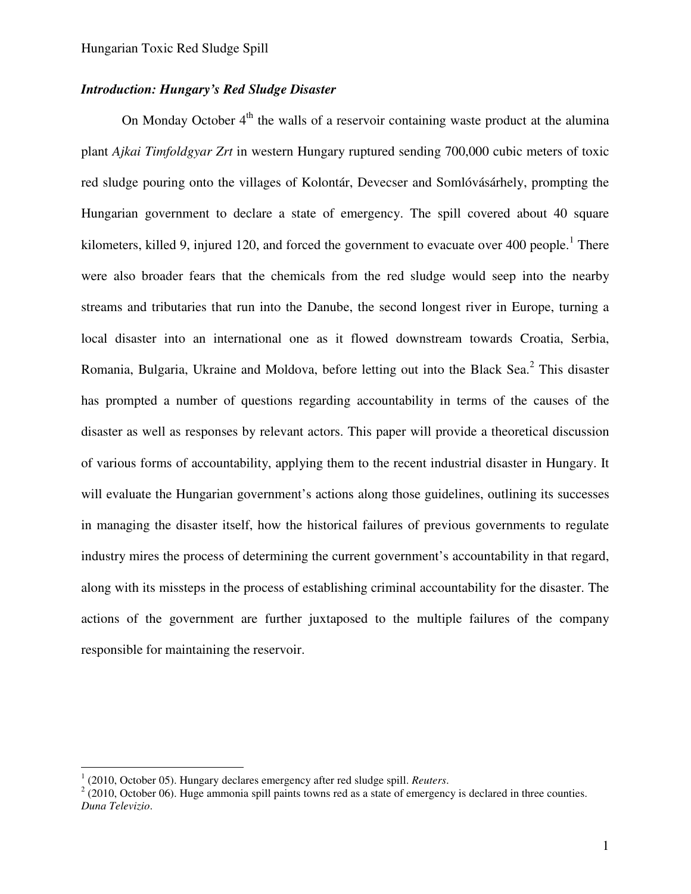## *Introduction: Hungary's Red Sludge Disaster*

On Monday October  $4<sup>th</sup>$  the walls of a reservoir containing waste product at the alumina plant *Ajkai Timfoldgyar Zrt* in western Hungary ruptured sending 700,000 cubic meters of toxic red sludge pouring onto the villages of Kolontár, Devecser and Somlóvásárhely, prompting the Hungarian government to declare a state of emergency. The spill covered about 40 square kilometers, killed 9, injured 120, and forced the government to evacuate over 400 people.<sup>1</sup> There were also broader fears that the chemicals from the red sludge would seep into the nearby streams and tributaries that run into the Danube, the second longest river in Europe, turning a local disaster into an international one as it flowed downstream towards Croatia, Serbia, Romania, Bulgaria, Ukraine and Moldova, before letting out into the Black Sea.<sup>2</sup> This disaster has prompted a number of questions regarding accountability in terms of the causes of the disaster as well as responses by relevant actors. This paper will provide a theoretical discussion of various forms of accountability, applying them to the recent industrial disaster in Hungary. It will evaluate the Hungarian government's actions along those guidelines, outlining its successes in managing the disaster itself, how the historical failures of previous governments to regulate industry mires the process of determining the current government's accountability in that regard, along with its missteps in the process of establishing criminal accountability for the disaster. The actions of the government are further juxtaposed to the multiple failures of the company responsible for maintaining the reservoir.

<sup>&</sup>lt;sup>1</sup> (2010, October 05). Hungary declares emergency after red sludge spill. *Reuters*.

 $2(2010, \text{October } 06)$ . Huge ammonia spill paints towns red as a state of emergency is declared in three counties. *Duna Televizio*.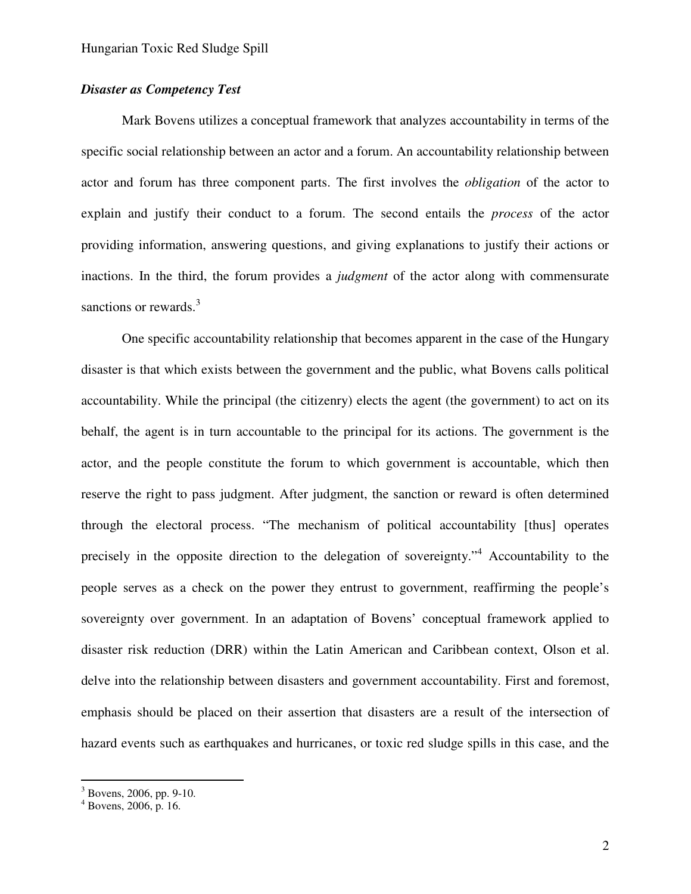## *Disaster as Competency Test*

Mark Bovens utilizes a conceptual framework that analyzes accountability in terms of the specific social relationship between an actor and a forum. An accountability relationship between actor and forum has three component parts. The first involves the *obligation* of the actor to explain and justify their conduct to a forum. The second entails the *process* of the actor providing information, answering questions, and giving explanations to justify their actions or inactions. In the third, the forum provides a *judgment* of the actor along with commensurate sanctions or rewards.<sup>3</sup>

One specific accountability relationship that becomes apparent in the case of the Hungary disaster is that which exists between the government and the public, what Bovens calls political accountability. While the principal (the citizenry) elects the agent (the government) to act on its behalf, the agent is in turn accountable to the principal for its actions. The government is the actor, and the people constitute the forum to which government is accountable, which then reserve the right to pass judgment. After judgment, the sanction or reward is often determined through the electoral process. "The mechanism of political accountability [thus] operates precisely in the opposite direction to the delegation of sovereignty."<sup>4</sup> Accountability to the people serves as a check on the power they entrust to government, reaffirming the people's sovereignty over government. In an adaptation of Bovens' conceptual framework applied to disaster risk reduction (DRR) within the Latin American and Caribbean context, Olson et al. delve into the relationship between disasters and government accountability. First and foremost, emphasis should be placed on their assertion that disasters are a result of the intersection of hazard events such as earthquakes and hurricanes, or toxic red sludge spills in this case, and the

 $3$  Bovens, 2006, pp. 9-10.

 $4$  Bovens, 2006, p. 16.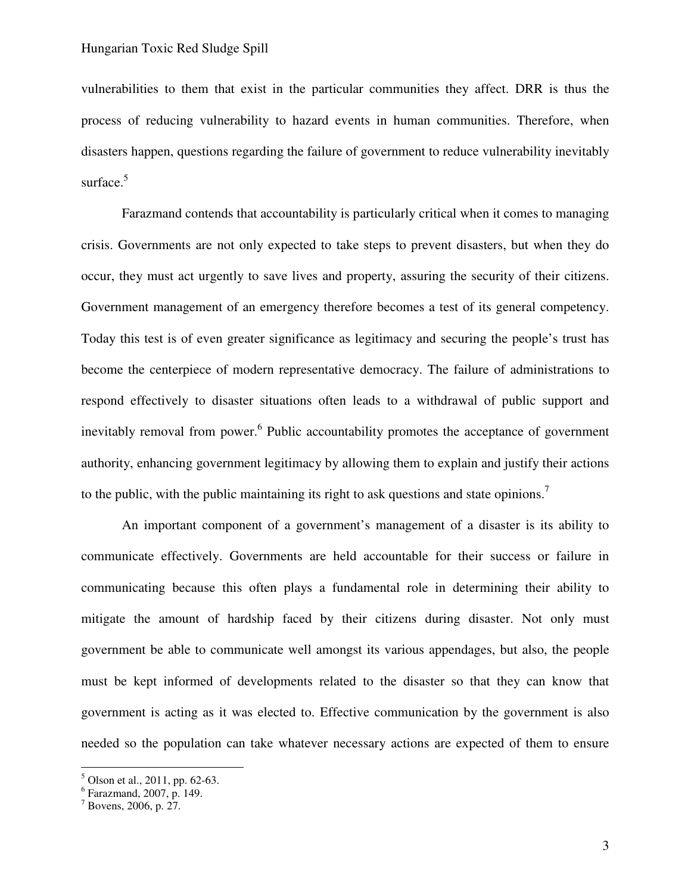vulnerabilities to them that exist in the particular communities they affect. DRR is thus the process of reducing vulnerability to hazard events in human communities. Therefore, when disasters happen, questions regarding the failure of government to reduce vulnerability inevitably surface.<sup>5</sup>

Farazmand contends that accountability is particularly critical when it comes to managing crisis. Governments are not only expected to take steps to prevent disasters, but when they do occur, they must act urgently to save lives and property, assuring the security of their citizens. Government management of an emergency therefore becomes a test of its general competency. Today this test is of even greater significance as legitimacy and securing the people's trust has become the centerpiece of modern representative democracy. The failure of administrations to respond effectively to disaster situations often leads to a withdrawal of public support and inevitably removal from power.<sup>6</sup> Public accountability promotes the acceptance of government authority, enhancing government legitimacy by allowing them to explain and justify their actions to the public, with the public maintaining its right to ask questions and state opinions.<sup>7</sup>

An important component of a government's management of a disaster is its ability to communicate effectively. Governments are held accountable for their success or failure in communicating because this often plays a fundamental role in determining their ability to mitigate the amount of hardship faced by their citizens during disaster. Not only must government be able to communicate well amongst its various appendages, but also, the people must be kept informed of developments related to the disaster so that they can know that government is acting as it was elected to. Effective communication by the government is also needed so the population can take whatever necessary actions are expected of them to ensure

<sup>&</sup>lt;sup>5</sup> Olson et al., 2011, pp. 62-63.

<sup>6</sup> Farazmand, 2007, p. 149.

 $7$  Bovens, 2006, p. 27.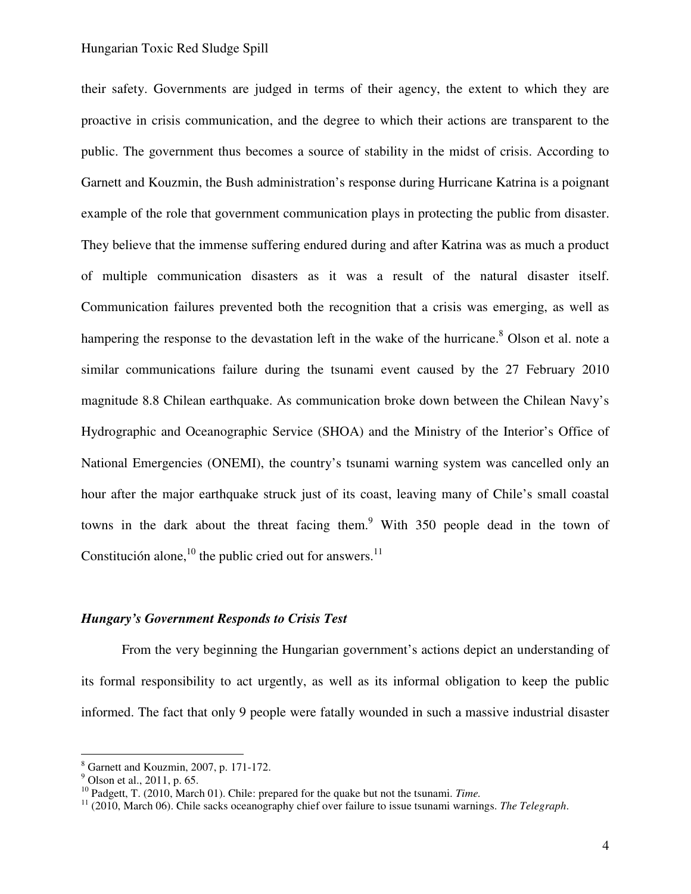their safety. Governments are judged in terms of their agency, the extent to which they are proactive in crisis communication, and the degree to which their actions are transparent to the public. The government thus becomes a source of stability in the midst of crisis. According to Garnett and Kouzmin, the Bush administration's response during Hurricane Katrina is a poignant example of the role that government communication plays in protecting the public from disaster. They believe that the immense suffering endured during and after Katrina was as much a product of multiple communication disasters as it was a result of the natural disaster itself. Communication failures prevented both the recognition that a crisis was emerging, as well as hampering the response to the devastation left in the wake of the hurricane.<sup>8</sup> Olson et al. note a similar communications failure during the tsunami event caused by the 27 February 2010 magnitude 8.8 Chilean earthquake. As communication broke down between the Chilean Navy's Hydrographic and Oceanographic Service (SHOA) and the Ministry of the Interior's Office of National Emergencies (ONEMI), the country's tsunami warning system was cancelled only an hour after the major earthquake struck just of its coast, leaving many of Chile's small coastal towns in the dark about the threat facing them.<sup>9</sup> With 350 people dead in the town of Constitución alone,  $^{10}$  the public cried out for answers.  $^{11}$ 

#### *Hungary's Government Responds to Crisis Test*

From the very beginning the Hungarian government's actions depict an understanding of its formal responsibility to act urgently, as well as its informal obligation to keep the public informed. The fact that only 9 people were fatally wounded in such a massive industrial disaster

<sup>&</sup>lt;sup>8</sup> Garnett and Kouzmin, 2007, p. 171-172.

 $9^9$  Olson et al., 2011, p. 65.

<sup>10</sup> Padgett, T. (2010, March 01). Chile: prepared for the quake but not the tsunami. *Time.*

<sup>11</sup> (2010, March 06). Chile sacks oceanography chief over failure to issue tsunami warnings. *The Telegraph*.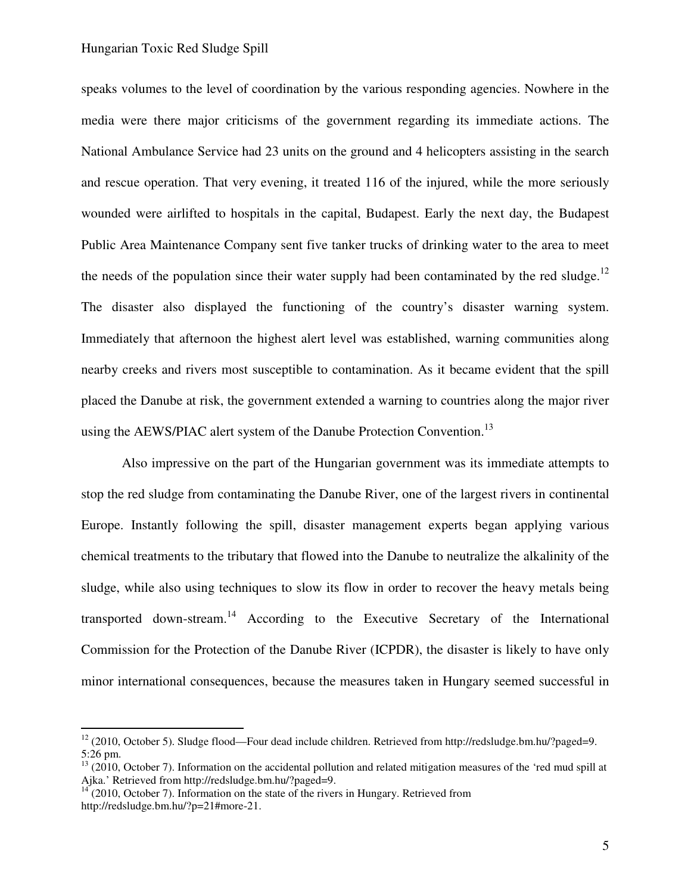speaks volumes to the level of coordination by the various responding agencies. Nowhere in the media were there major criticisms of the government regarding its immediate actions. The National Ambulance Service had 23 units on the ground and 4 helicopters assisting in the search and rescue operation. That very evening, it treated 116 of the injured, while the more seriously wounded were airlifted to hospitals in the capital, Budapest. Early the next day, the Budapest Public Area Maintenance Company sent five tanker trucks of drinking water to the area to meet the needs of the population since their water supply had been contaminated by the red sludge.<sup>12</sup> The disaster also displayed the functioning of the country's disaster warning system. Immediately that afternoon the highest alert level was established, warning communities along nearby creeks and rivers most susceptible to contamination. As it became evident that the spill placed the Danube at risk, the government extended a warning to countries along the major river using the AEWS/PIAC alert system of the Danube Protection Convention.<sup>13</sup>

Also impressive on the part of the Hungarian government was its immediate attempts to stop the red sludge from contaminating the Danube River, one of the largest rivers in continental Europe. Instantly following the spill, disaster management experts began applying various chemical treatments to the tributary that flowed into the Danube to neutralize the alkalinity of the sludge, while also using techniques to slow its flow in order to recover the heavy metals being transported down-stream.<sup>14</sup> According to the Executive Secretary of the International Commission for the Protection of the Danube River (ICPDR), the disaster is likely to have only minor international consequences, because the measures taken in Hungary seemed successful in

<sup>&</sup>lt;sup>12</sup> (2010, October 5). Sludge flood—Four dead include children. Retrieved from http://redsludge.bm.hu/?paged=9. 5:26 pm.

 $13$  (2010, October 7). Information on the accidental pollution and related mitigation measures of the 'red mud spill at Ajka.' Retrieved from http://redsludge.bm.hu/?paged=9.

 $14^{14}$  (2010, October 7). Information on the state of the rivers in Hungary. Retrieved from http://redsludge.bm.hu/?p=21#more-21.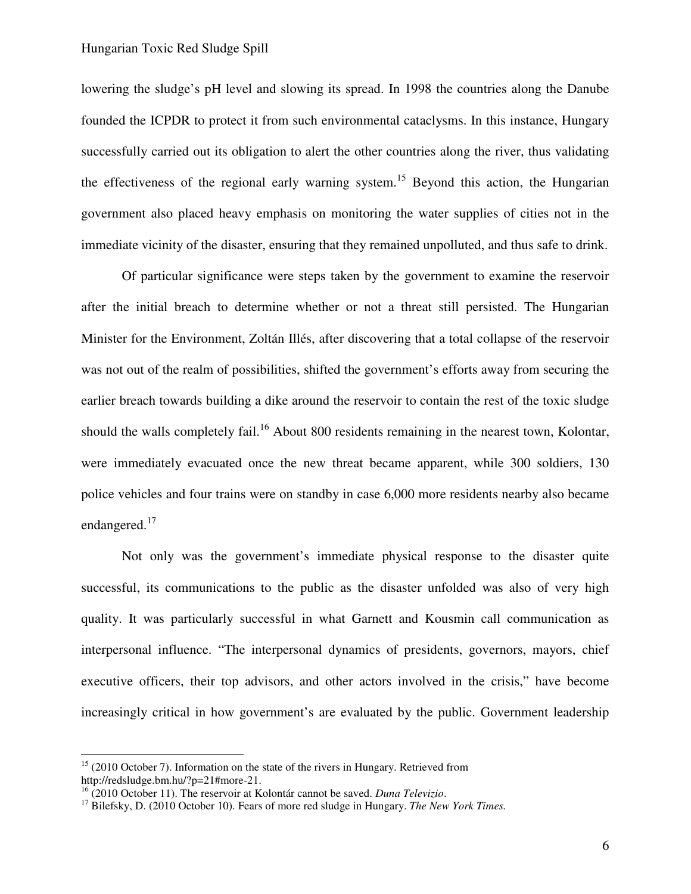lowering the sludge's pH level and slowing its spread. In 1998 the countries along the Danube founded the ICPDR to protect it from such environmental cataclysms. In this instance, Hungary successfully carried out its obligation to alert the other countries along the river, thus validating the effectiveness of the regional early warning system.<sup>15</sup> Beyond this action, the Hungarian government also placed heavy emphasis on monitoring the water supplies of cities not in the immediate vicinity of the disaster, ensuring that they remained unpolluted, and thus safe to drink.

Of particular significance were steps taken by the government to examine the reservoir after the initial breach to determine whether or not a threat still persisted. The Hungarian Minister for the Environment, Zoltán Illés, after discovering that a total collapse of the reservoir was not out of the realm of possibilities, shifted the government's efforts away from securing the earlier breach towards building a dike around the reservoir to contain the rest of the toxic sludge should the walls completely fail.<sup>16</sup> About 800 residents remaining in the nearest town, Kolontar, were immediately evacuated once the new threat became apparent, while 300 soldiers, 130 police vehicles and four trains were on standby in case 6,000 more residents nearby also became endangered.<sup>17</sup>

Not only was the government's immediate physical response to the disaster quite successful, its communications to the public as the disaster unfolded was also of very high quality. It was particularly successful in what Garnett and Kousmin call communication as interpersonal influence. "The interpersonal dynamics of presidents, governors, mayors, chief executive officers, their top advisors, and other actors involved in the crisis," have become increasingly critical in how government's are evaluated by the public. Government leadership

 $15$  (2010 October 7). Information on the state of the rivers in Hungary. Retrieved from http://redsludge.bm.hu/?p=21#more-21.

<sup>16</sup> (2010 October 11). The reservoir at Kolontár cannot be saved. *Duna Televizio*.

<sup>&</sup>lt;sup>17</sup> Bilefsky, D. (2010 October 10). Fears of more red sludge in Hungary. *The New York Times*.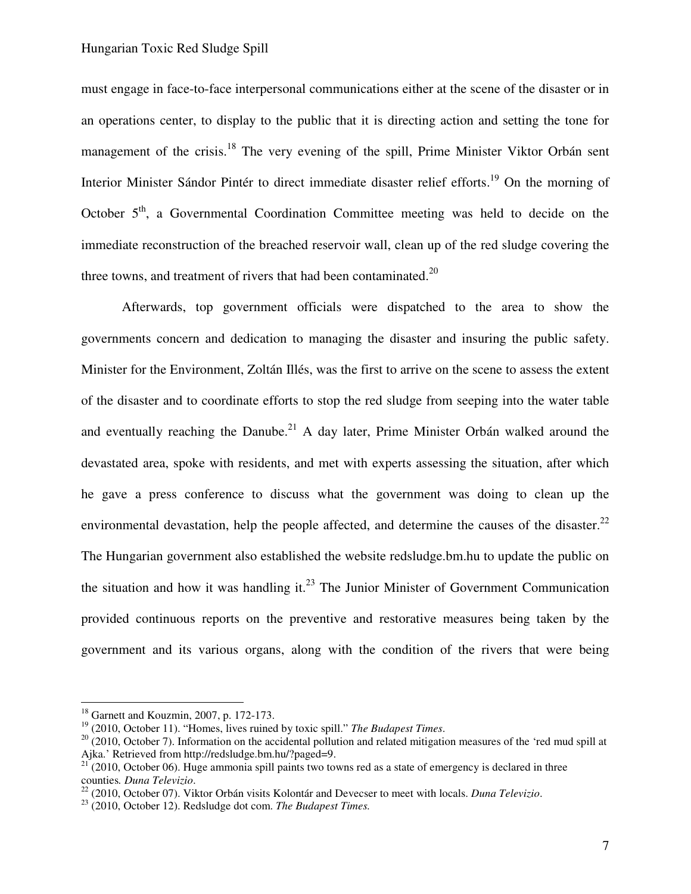must engage in face-to-face interpersonal communications either at the scene of the disaster or in an operations center, to display to the public that it is directing action and setting the tone for management of the crisis.<sup>18</sup> The very evening of the spill, Prime Minister Viktor Orbán sent Interior Minister Sándor Pintér to direct immediate disaster relief efforts.<sup>19</sup> On the morning of October 5<sup>th</sup>, a Governmental Coordination Committee meeting was held to decide on the immediate reconstruction of the breached reservoir wall, clean up of the red sludge covering the three towns, and treatment of rivers that had been contaminated.<sup>20</sup>

Afterwards, top government officials were dispatched to the area to show the governments concern and dedication to managing the disaster and insuring the public safety. Minister for the Environment, Zoltán Illés, was the first to arrive on the scene to assess the extent of the disaster and to coordinate efforts to stop the red sludge from seeping into the water table and eventually reaching the Danube.<sup>21</sup> A day later, Prime Minister Orbán walked around the devastated area, spoke with residents, and met with experts assessing the situation, after which he gave a press conference to discuss what the government was doing to clean up the environmental devastation, help the people affected, and determine the causes of the disaster. $^{22}$ The Hungarian government also established the website redsludge.bm.hu to update the public on the situation and how it was handling it.<sup>23</sup> The Junior Minister of Government Communication provided continuous reports on the preventive and restorative measures being taken by the government and its various organs, along with the condition of the rivers that were being

<sup>18</sup> Garnett and Kouzmin, 2007, p. 172-173.

<sup>19</sup> (2010, October 11). "Homes, lives ruined by toxic spill." *The Budapest Times*.

 $20$  (2010, October 7). Information on the accidental pollution and related mitigation measures of the 'red mud spill at Ajka.' Retrieved from http://redsludge.bm.hu/?paged=9.

<sup>&</sup>lt;sup>21</sup> (2010, October 06). Huge ammonia spill paints two towns red as a state of emergency is declared in three counties*. Duna Televizio*.

<sup>22</sup> (2010, October 07). Viktor Orbán visits Kolontár and Devecser to meet with locals. *Duna Televizio*.

<sup>23</sup> (2010, October 12). Redsludge dot com. *The Budapest Times.*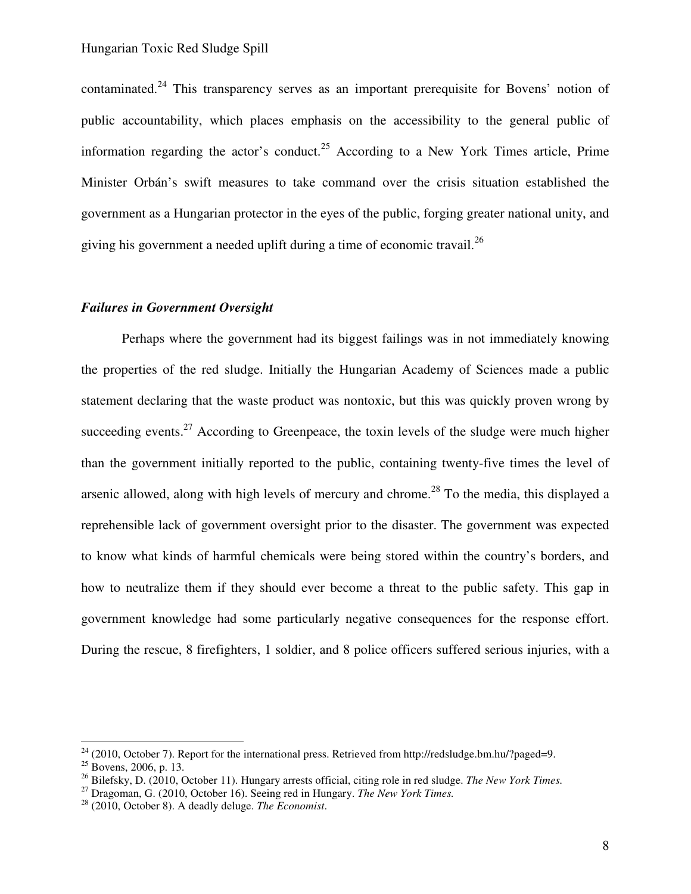contaminated.<sup>24</sup> This transparency serves as an important prerequisite for Bovens' notion of public accountability, which places emphasis on the accessibility to the general public of information regarding the actor's conduct.<sup>25</sup> According to a New York Times article, Prime Minister Orbán's swift measures to take command over the crisis situation established the government as a Hungarian protector in the eyes of the public, forging greater national unity, and giving his government a needed uplift during a time of economic travail.<sup>26</sup>

#### *Failures in Government Oversight*

Perhaps where the government had its biggest failings was in not immediately knowing the properties of the red sludge. Initially the Hungarian Academy of Sciences made a public statement declaring that the waste product was nontoxic, but this was quickly proven wrong by succeeding events.<sup>27</sup> According to Greenpeace, the toxin levels of the sludge were much higher than the government initially reported to the public, containing twenty-five times the level of arsenic allowed, along with high levels of mercury and chrome.<sup>28</sup> To the media, this displayed a reprehensible lack of government oversight prior to the disaster. The government was expected to know what kinds of harmful chemicals were being stored within the country's borders, and how to neutralize them if they should ever become a threat to the public safety. This gap in government knowledge had some particularly negative consequences for the response effort. During the rescue, 8 firefighters, 1 soldier, and 8 police officers suffered serious injuries, with a

 $^{24}$  (2010, October 7). Report for the international press. Retrieved from http://redsludge.bm.hu/?paged=9.

 $25$  Bovens, 2006, p. 13.

<sup>26</sup> Bilefsky, D. (2010, October 11). Hungary arrests official, citing role in red sludge. *The New York Times.*

<sup>27</sup> Dragoman, G. (2010, October 16). Seeing red in Hungary. *The New York Times.* 

<sup>28</sup> (2010, October 8). A deadly deluge. *The Economist*.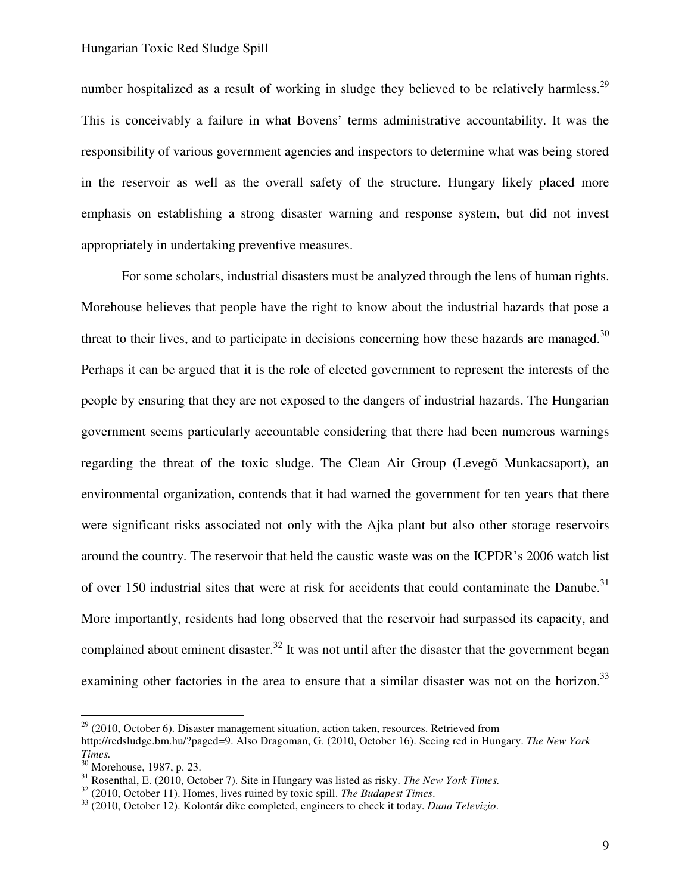number hospitalized as a result of working in sludge they believed to be relatively harmless.<sup>29</sup> This is conceivably a failure in what Bovens' terms administrative accountability. It was the responsibility of various government agencies and inspectors to determine what was being stored in the reservoir as well as the overall safety of the structure. Hungary likely placed more emphasis on establishing a strong disaster warning and response system, but did not invest appropriately in undertaking preventive measures.

For some scholars, industrial disasters must be analyzed through the lens of human rights. Morehouse believes that people have the right to know about the industrial hazards that pose a threat to their lives, and to participate in decisions concerning how these hazards are managed.<sup>30</sup> Perhaps it can be argued that it is the role of elected government to represent the interests of the people by ensuring that they are not exposed to the dangers of industrial hazards. The Hungarian government seems particularly accountable considering that there had been numerous warnings regarding the threat of the toxic sludge. The Clean Air Group (Levegõ Munkacsaport), an environmental organization, contends that it had warned the government for ten years that there were significant risks associated not only with the Ajka plant but also other storage reservoirs around the country. The reservoir that held the caustic waste was on the ICPDR's 2006 watch list of over 150 industrial sites that were at risk for accidents that could contaminate the Danube.<sup>31</sup> More importantly, residents had long observed that the reservoir had surpassed its capacity, and complained about eminent disaster.<sup>32</sup> It was not until after the disaster that the government began examining other factories in the area to ensure that a similar disaster was not on the horizon.<sup>33</sup>

 $29$  (2010, October 6). Disaster management situation, action taken, resources. Retrieved from http://redsludge.bm.hu/?paged=9. Also Dragoman, G. (2010, October 16). Seeing red in Hungary. *The New York Times.* 

<sup>30</sup> Morehouse, 1987, p. 23.

<sup>31</sup> Rosenthal, E. (2010, October 7). Site in Hungary was listed as risky. *The New York Times.*

<sup>32</sup> (2010, October 11). Homes, lives ruined by toxic spill. *The Budapest Times*.

<sup>33</sup> (2010, October 12). Kolontár dike completed, engineers to check it today. *Duna Televizio*.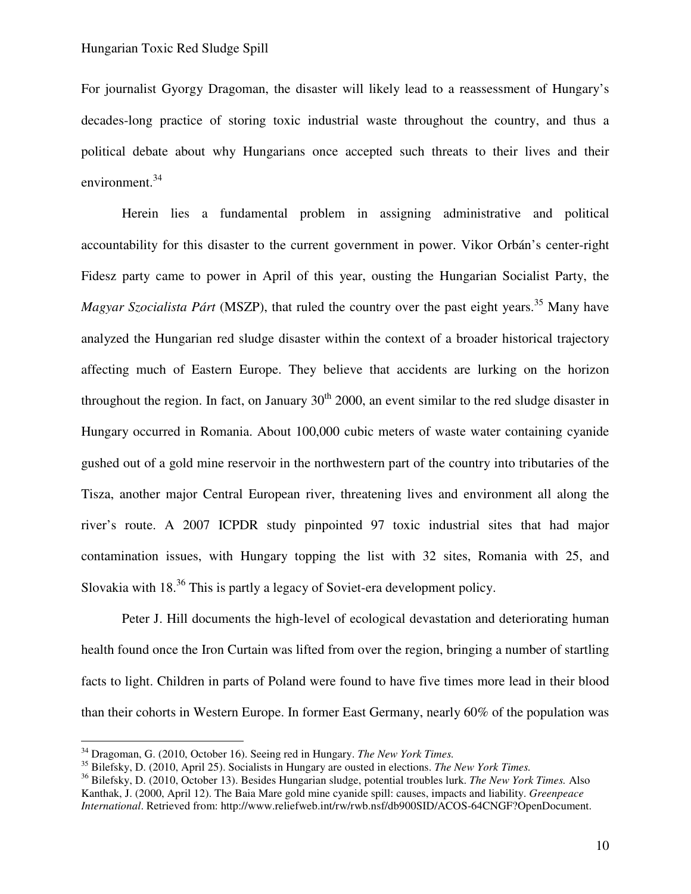For journalist Gyorgy Dragoman, the disaster will likely lead to a reassessment of Hungary's decades-long practice of storing toxic industrial waste throughout the country, and thus a political debate about why Hungarians once accepted such threats to their lives and their environment.<sup>34</sup>

Herein lies a fundamental problem in assigning administrative and political accountability for this disaster to the current government in power. Vikor Orbán's center-right Fidesz party came to power in April of this year, ousting the Hungarian Socialist Party, the *Magyar Szocialista Párt* (MSZP), that ruled the country over the past eight years.<sup>35</sup> Many have analyzed the Hungarian red sludge disaster within the context of a broader historical trajectory affecting much of Eastern Europe. They believe that accidents are lurking on the horizon throughout the region. In fact, on January  $30<sup>th</sup> 2000$ , an event similar to the red sludge disaster in Hungary occurred in Romania. About 100,000 cubic meters of waste water containing cyanide gushed out of a gold mine reservoir in the northwestern part of the country into tributaries of the Tisza, another major Central European river, threatening lives and environment all along the river's route. A 2007 ICPDR study pinpointed 97 toxic industrial sites that had major contamination issues, with Hungary topping the list with 32 sites, Romania with 25, and Slovakia with 18<sup>36</sup> This is partly a legacy of Soviet-era development policy.

Peter J. Hill documents the high-level of ecological devastation and deteriorating human health found once the Iron Curtain was lifted from over the region, bringing a number of startling facts to light. Children in parts of Poland were found to have five times more lead in their blood than their cohorts in Western Europe. In former East Germany, nearly 60% of the population was

<u>.</u>

<sup>34</sup> Dragoman, G. (2010, October 16). Seeing red in Hungary. *The New York Times.*

<sup>35</sup> Bilefsky, D. (2010, April 25). Socialists in Hungary are ousted in elections. *The New York Times.*

<sup>36</sup> Bilefsky, D. (2010, October 13). Besides Hungarian sludge, potential troubles lurk. *The New York Times.* Also Kanthak, J. (2000, April 12). The Baia Mare gold mine cyanide spill: causes, impacts and liability. *Greenpeace International*. Retrieved from: http://www.reliefweb.int/rw/rwb.nsf/db900SID/ACOS-64CNGF?OpenDocument.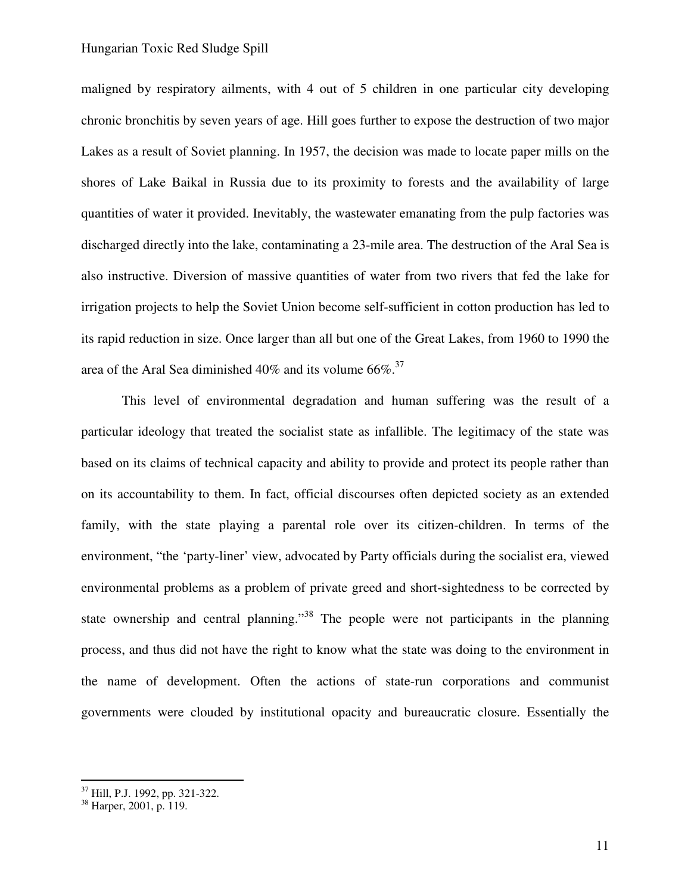maligned by respiratory ailments, with 4 out of 5 children in one particular city developing chronic bronchitis by seven years of age. Hill goes further to expose the destruction of two major Lakes as a result of Soviet planning. In 1957, the decision was made to locate paper mills on the shores of Lake Baikal in Russia due to its proximity to forests and the availability of large quantities of water it provided. Inevitably, the wastewater emanating from the pulp factories was discharged directly into the lake, contaminating a 23-mile area. The destruction of the Aral Sea is also instructive. Diversion of massive quantities of water from two rivers that fed the lake for irrigation projects to help the Soviet Union become self-sufficient in cotton production has led to its rapid reduction in size. Once larger than all but one of the Great Lakes, from 1960 to 1990 the area of the Aral Sea diminished 40% and its volume  $66\%$ .<sup>37</sup>

This level of environmental degradation and human suffering was the result of a particular ideology that treated the socialist state as infallible. The legitimacy of the state was based on its claims of technical capacity and ability to provide and protect its people rather than on its accountability to them. In fact, official discourses often depicted society as an extended family, with the state playing a parental role over its citizen-children. In terms of the environment, "the 'party-liner' view, advocated by Party officials during the socialist era, viewed environmental problems as a problem of private greed and short-sightedness to be corrected by state ownership and central planning.<sup>38</sup> The people were not participants in the planning process, and thus did not have the right to know what the state was doing to the environment in the name of development. Often the actions of state-run corporations and communist governments were clouded by institutional opacity and bureaucratic closure. Essentially the

<sup>&</sup>lt;sup>37</sup> Hill, P.J. 1992, pp. 321-322.

<sup>38</sup> Harper, 2001, p. 119.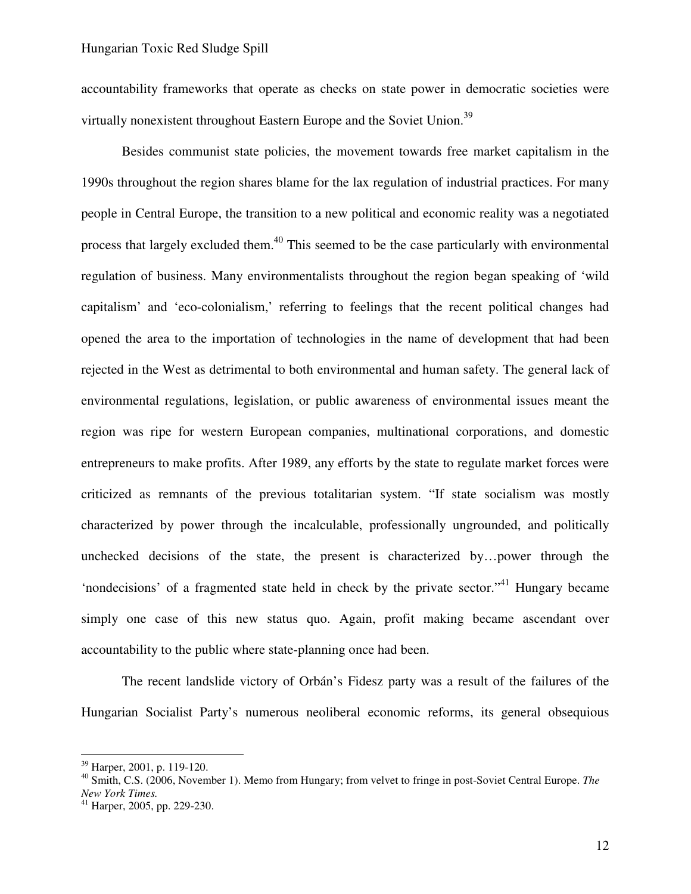accountability frameworks that operate as checks on state power in democratic societies were virtually nonexistent throughout Eastern Europe and the Soviet Union.<sup>39</sup>

Besides communist state policies, the movement towards free market capitalism in the 1990s throughout the region shares blame for the lax regulation of industrial practices. For many people in Central Europe, the transition to a new political and economic reality was a negotiated process that largely excluded them.<sup>40</sup> This seemed to be the case particularly with environmental regulation of business. Many environmentalists throughout the region began speaking of 'wild capitalism' and 'eco-colonialism,' referring to feelings that the recent political changes had opened the area to the importation of technologies in the name of development that had been rejected in the West as detrimental to both environmental and human safety. The general lack of environmental regulations, legislation, or public awareness of environmental issues meant the region was ripe for western European companies, multinational corporations, and domestic entrepreneurs to make profits. After 1989, any efforts by the state to regulate market forces were criticized as remnants of the previous totalitarian system. "If state socialism was mostly characterized by power through the incalculable, professionally ungrounded, and politically unchecked decisions of the state, the present is characterized by…power through the 'nondecisions' of a fragmented state held in check by the private sector."<sup>41</sup> Hungary became simply one case of this new status quo. Again, profit making became ascendant over accountability to the public where state-planning once had been.

The recent landslide victory of Orbán's Fidesz party was a result of the failures of the Hungarian Socialist Party's numerous neoliberal economic reforms, its general obsequious

<sup>39</sup> Harper, 2001, p. 119-120.

<sup>40</sup> Smith, C.S. (2006, November 1). Memo from Hungary; from velvet to fringe in post-Soviet Central Europe. *The New York Times.*

 $41$  Harper, 2005, pp. 229-230.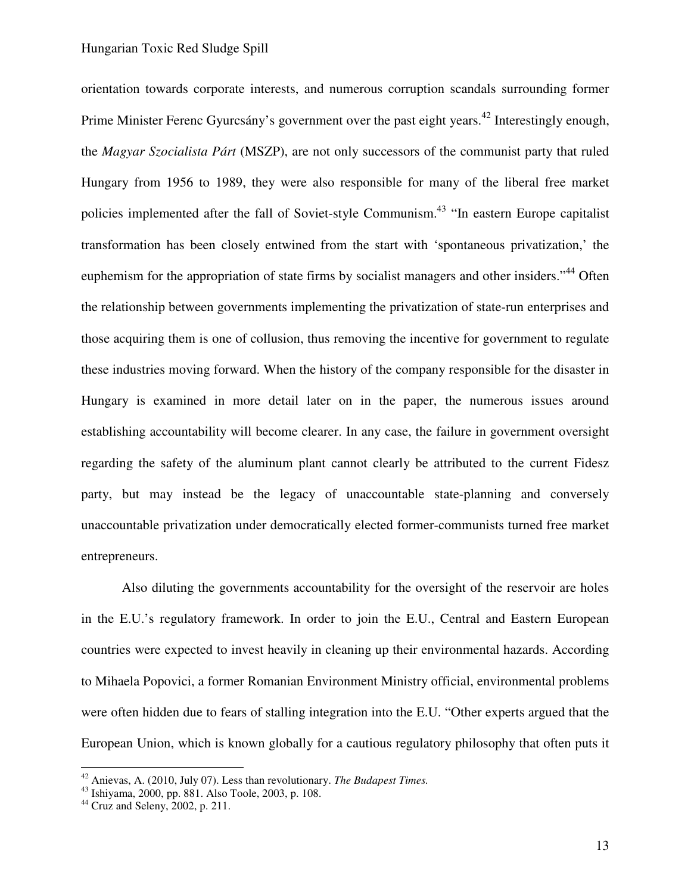orientation towards corporate interests, and numerous corruption scandals surrounding former Prime Minister Ferenc Gyurcsány's government over the past eight years.<sup>42</sup> Interestingly enough, the *Magyar Szocialista Párt* (MSZP), are not only successors of the communist party that ruled Hungary from 1956 to 1989, they were also responsible for many of the liberal free market policies implemented after the fall of Soviet-style Communism.<sup>43</sup> "In eastern Europe capitalist transformation has been closely entwined from the start with 'spontaneous privatization,' the euphemism for the appropriation of state firms by socialist managers and other insiders."<sup>44</sup> Often the relationship between governments implementing the privatization of state-run enterprises and those acquiring them is one of collusion, thus removing the incentive for government to regulate these industries moving forward. When the history of the company responsible for the disaster in Hungary is examined in more detail later on in the paper, the numerous issues around establishing accountability will become clearer. In any case, the failure in government oversight regarding the safety of the aluminum plant cannot clearly be attributed to the current Fidesz party, but may instead be the legacy of unaccountable state-planning and conversely unaccountable privatization under democratically elected former-communists turned free market entrepreneurs.

Also diluting the governments accountability for the oversight of the reservoir are holes in the E.U.'s regulatory framework. In order to join the E.U., Central and Eastern European countries were expected to invest heavily in cleaning up their environmental hazards. According to Mihaela Popovici, a former Romanian Environment Ministry official, environmental problems were often hidden due to fears of stalling integration into the E.U. "Other experts argued that the European Union, which is known globally for a cautious regulatory philosophy that often puts it

<sup>42</sup> Anievas, A. (2010, July 07). Less than revolutionary. *The Budapest Times.*

 $43$  Ishiyama, 2000, pp. 881. Also Toole, 2003, p. 108.

 $44$  Cruz and Seleny, 2002, p. 211.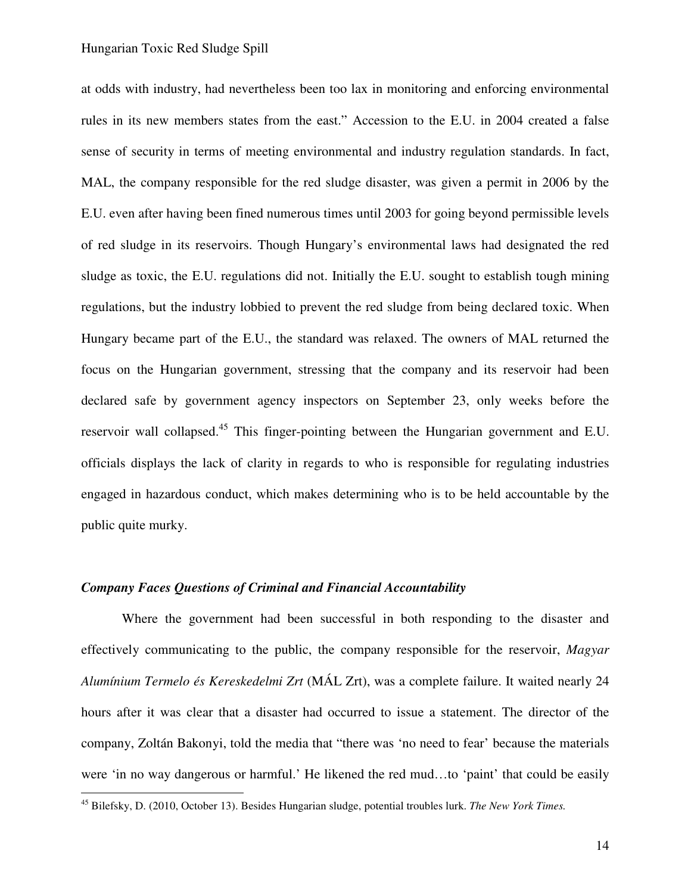at odds with industry, had nevertheless been too lax in monitoring and enforcing environmental rules in its new members states from the east." Accession to the E.U. in 2004 created a false sense of security in terms of meeting environmental and industry regulation standards. In fact, MAL, the company responsible for the red sludge disaster, was given a permit in 2006 by the E.U. even after having been fined numerous times until 2003 for going beyond permissible levels of red sludge in its reservoirs. Though Hungary's environmental laws had designated the red sludge as toxic, the E.U. regulations did not. Initially the E.U. sought to establish tough mining regulations, but the industry lobbied to prevent the red sludge from being declared toxic. When Hungary became part of the E.U., the standard was relaxed. The owners of MAL returned the focus on the Hungarian government, stressing that the company and its reservoir had been declared safe by government agency inspectors on September 23, only weeks before the reservoir wall collapsed.<sup>45</sup> This finger-pointing between the Hungarian government and E.U. officials displays the lack of clarity in regards to who is responsible for regulating industries engaged in hazardous conduct, which makes determining who is to be held accountable by the public quite murky.

#### *Company Faces Questions of Criminal and Financial Accountability*

 $\overline{a}$ 

Where the government had been successful in both responding to the disaster and effectively communicating to the public, the company responsible for the reservoir, *Magyar Alumínium Termelo és Kereskedelmi Zrt* (MÁL Zrt), was a complete failure. It waited nearly 24 hours after it was clear that a disaster had occurred to issue a statement. The director of the company, Zoltán Bakonyi, told the media that "there was 'no need to fear' because the materials were 'in no way dangerous or harmful.' He likened the red mud…to 'paint' that could be easily

<sup>45</sup> Bilefsky, D. (2010, October 13). Besides Hungarian sludge, potential troubles lurk. *The New York Times.*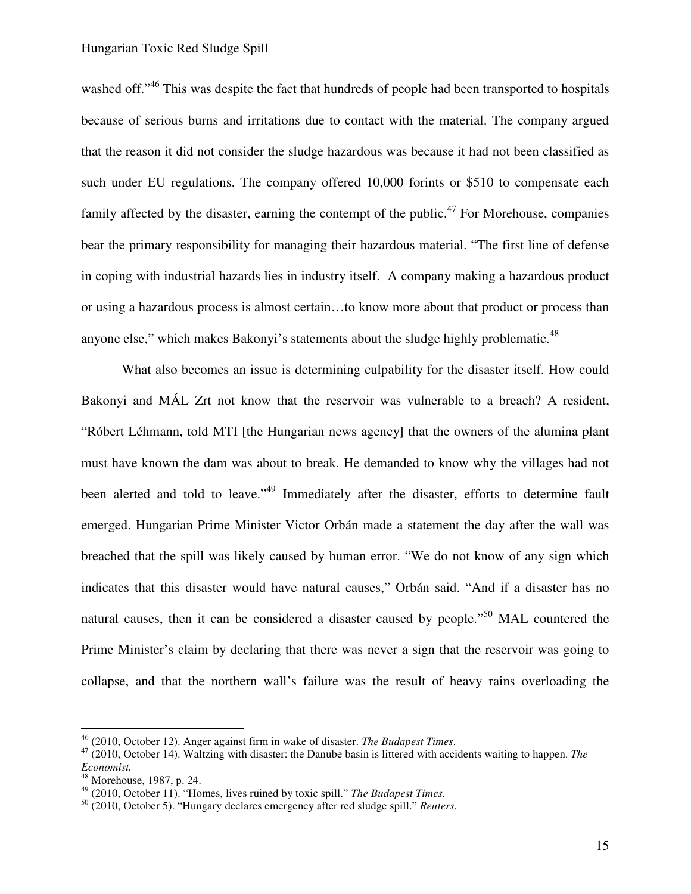washed off."<sup>46</sup> This was despite the fact that hundreds of people had been transported to hospitals because of serious burns and irritations due to contact with the material. The company argued that the reason it did not consider the sludge hazardous was because it had not been classified as such under EU regulations. The company offered 10,000 forints or \$510 to compensate each family affected by the disaster, earning the contempt of the public.<sup>47</sup> For Morehouse, companies bear the primary responsibility for managing their hazardous material. "The first line of defense in coping with industrial hazards lies in industry itself. A company making a hazardous product or using a hazardous process is almost certain…to know more about that product or process than anyone else," which makes Bakonyi's statements about the sludge highly problematic. $48$ 

 What also becomes an issue is determining culpability for the disaster itself. How could Bakonyi and MÁL Zrt not know that the reservoir was vulnerable to a breach? A resident, "Róbert Léhmann, told MTI [the Hungarian news agency] that the owners of the alumina plant must have known the dam was about to break. He demanded to know why the villages had not been alerted and told to leave."<sup>49</sup> Immediately after the disaster, efforts to determine fault emerged. Hungarian Prime Minister Victor Orbán made a statement the day after the wall was breached that the spill was likely caused by human error. "We do not know of any sign which indicates that this disaster would have natural causes," Orbán said. "And if a disaster has no natural causes, then it can be considered a disaster caused by people."<sup>50</sup> MAL countered the Prime Minister's claim by declaring that there was never a sign that the reservoir was going to collapse, and that the northern wall's failure was the result of heavy rains overloading the

<u>.</u>

<sup>46</sup> (2010, October 12). Anger against firm in wake of disaster. *The Budapest Times*.

<sup>47</sup> (2010, October 14). Waltzing with disaster: the Danube basin is littered with accidents waiting to happen. *The Economist.*

<sup>48</sup> Morehouse, 1987, p. 24.

<sup>49</sup> (2010, October 11). "Homes, lives ruined by toxic spill." *The Budapest Times.*

<sup>50</sup> (2010, October 5). "Hungary declares emergency after red sludge spill." *Reuters*.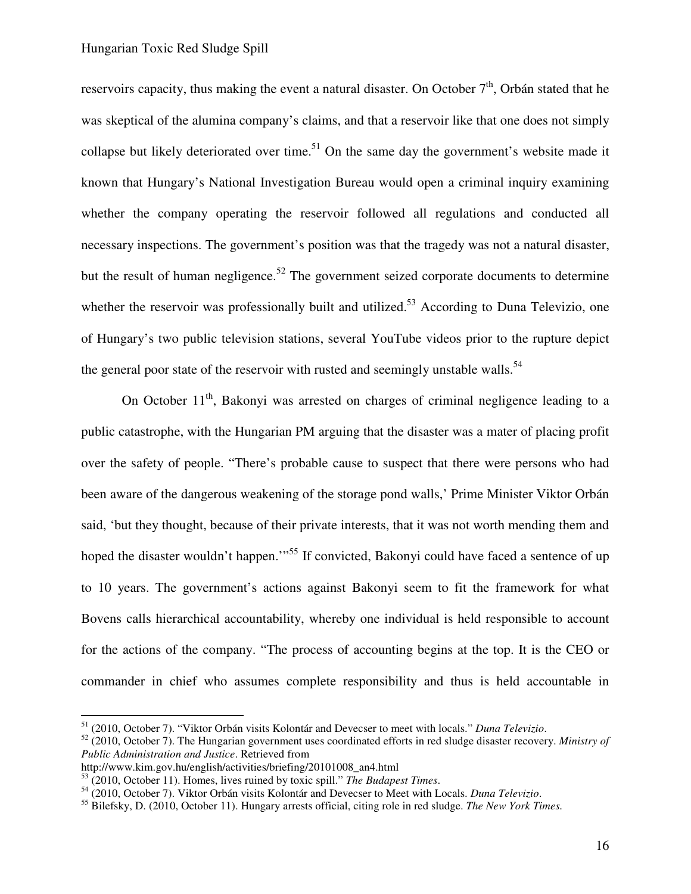reservoirs capacity, thus making the event a natural disaster. On October  $7<sup>th</sup>$ , Orbán stated that he was skeptical of the alumina company's claims, and that a reservoir like that one does not simply collapse but likely deteriorated over time.<sup>51</sup> On the same day the government's website made it known that Hungary's National Investigation Bureau would open a criminal inquiry examining whether the company operating the reservoir followed all regulations and conducted all necessary inspections. The government's position was that the tragedy was not a natural disaster, but the result of human negligence.<sup>52</sup> The government seized corporate documents to determine whether the reservoir was professionally built and utilized.<sup>53</sup> According to Duna Televizio, one of Hungary's two public television stations, several YouTube videos prior to the rupture depict the general poor state of the reservoir with rusted and seemingly unstable walls.<sup>54</sup>

On October  $11<sup>th</sup>$ , Bakonyi was arrested on charges of criminal negligence leading to a public catastrophe, with the Hungarian PM arguing that the disaster was a mater of placing profit over the safety of people. "There's probable cause to suspect that there were persons who had been aware of the dangerous weakening of the storage pond walls,' Prime Minister Viktor Orbán said, 'but they thought, because of their private interests, that it was not worth mending them and hoped the disaster wouldn't happen."<sup>55</sup> If convicted, Bakonyi could have faced a sentence of up to 10 years. The government's actions against Bakonyi seem to fit the framework for what Bovens calls hierarchical accountability, whereby one individual is held responsible to account for the actions of the company. "The process of accounting begins at the top. It is the CEO or commander in chief who assumes complete responsibility and thus is held accountable in

<sup>51</sup> (2010, October 7). "Viktor Orbán visits Kolontár and Devecser to meet with locals." *Duna Televizio*.

<sup>52</sup> (2010, October 7). The Hungarian government uses coordinated efforts in red sludge disaster recovery. *Ministry of Public Administration and Justice*. Retrieved from

http://www.kim.gov.hu/english/activities/briefing/20101008\_an4.html

<sup>53</sup> (2010, October 11). Homes, lives ruined by toxic spill." *The Budapest Times*.

<sup>54</sup> (2010, October 7). Viktor Orbán visits Kolontár and Devecser to Meet with Locals. *Duna Televizio*.

<sup>55</sup> Bilefsky, D. (2010, October 11). Hungary arrests official, citing role in red sludge. *The New York Times.*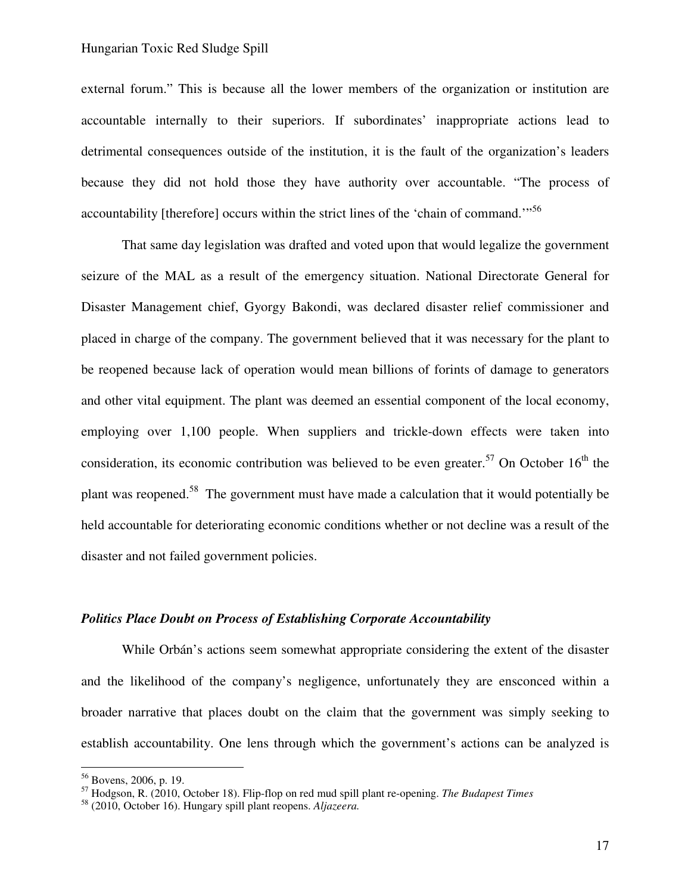external forum." This is because all the lower members of the organization or institution are accountable internally to their superiors. If subordinates' inappropriate actions lead to detrimental consequences outside of the institution, it is the fault of the organization's leaders because they did not hold those they have authority over accountable. "The process of accountability [therefore] occurs within the strict lines of the 'chain of command."<sup>56</sup>

That same day legislation was drafted and voted upon that would legalize the government seizure of the MAL as a result of the emergency situation. National Directorate General for Disaster Management chief, Gyorgy Bakondi, was declared disaster relief commissioner and placed in charge of the company. The government believed that it was necessary for the plant to be reopened because lack of operation would mean billions of forints of damage to generators and other vital equipment. The plant was deemed an essential component of the local economy, employing over 1,100 people. When suppliers and trickle-down effects were taken into consideration, its economic contribution was believed to be even greater.<sup>57</sup> On October  $16<sup>th</sup>$  the plant was reopened.<sup>58</sup> The government must have made a calculation that it would potentially be held accountable for deteriorating economic conditions whether or not decline was a result of the disaster and not failed government policies.

#### *Politics Place Doubt on Process of Establishing Corporate Accountability*

While Orbán's actions seem somewhat appropriate considering the extent of the disaster and the likelihood of the company's negligence, unfortunately they are ensconced within a broader narrative that places doubt on the claim that the government was simply seeking to establish accountability. One lens through which the government's actions can be analyzed is

<sup>&</sup>lt;sup>56</sup> Bovens, 2006, p. 19.

<sup>57</sup> Hodgson, R. (2010, October 18). Flip-flop on red mud spill plant re-opening. *The Budapest Times*

<sup>58</sup> (2010, October 16). Hungary spill plant reopens. *Aljazeera.*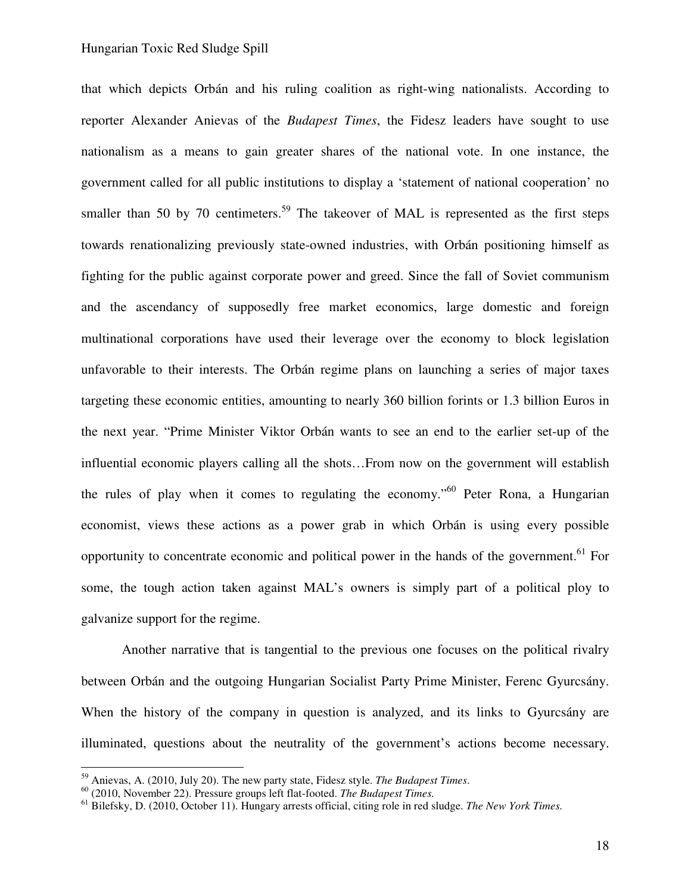that which depicts Orbán and his ruling coalition as right-wing nationalists. According to reporter Alexander Anievas of the *Budapest Times*, the Fidesz leaders have sought to use nationalism as a means to gain greater shares of the national vote. In one instance, the government called for all public institutions to display a 'statement of national cooperation' no smaller than 50 by 70 centimeters.<sup>59</sup> The takeover of MAL is represented as the first steps towards renationalizing previously state-owned industries, with Orbán positioning himself as fighting for the public against corporate power and greed. Since the fall of Soviet communism and the ascendancy of supposedly free market economics, large domestic and foreign multinational corporations have used their leverage over the economy to block legislation unfavorable to their interests. The Orbán regime plans on launching a series of major taxes targeting these economic entities, amounting to nearly 360 billion forints or 1.3 billion Euros in the next year. "Prime Minister Viktor Orbán wants to see an end to the earlier set-up of the influential economic players calling all the shots…From now on the government will establish the rules of play when it comes to regulating the economy."<sup>60</sup> Peter Rona, a Hungarian economist, views these actions as a power grab in which Orbán is using every possible opportunity to concentrate economic and political power in the hands of the government.<sup>61</sup> For some, the tough action taken against MAL's owners is simply part of a political ploy to galvanize support for the regime.

Another narrative that is tangential to the previous one focuses on the political rivalry between Orbán and the outgoing Hungarian Socialist Party Prime Minister, Ferenc Gyurcsány. When the history of the company in question is analyzed, and its links to Gyurcsány are illuminated, questions about the neutrality of the government's actions become necessary.

<sup>59</sup> Anievas, A. (2010, July 20). The new party state, Fidesz style. *The Budapest Times*.

<sup>60</sup> (2010, November 22). Pressure groups left flat-footed. *The Budapest Times.* 

<sup>61</sup> Bilefsky, D. (2010, October 11). Hungary arrests official, citing role in red sludge. *The New York Times.*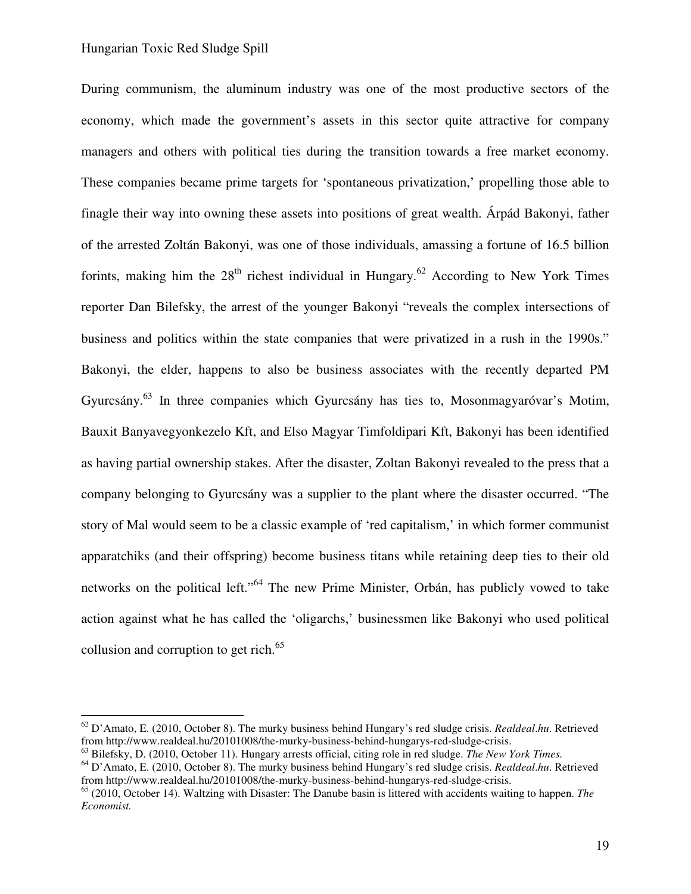1

During communism, the aluminum industry was one of the most productive sectors of the economy, which made the government's assets in this sector quite attractive for company managers and others with political ties during the transition towards a free market economy. These companies became prime targets for 'spontaneous privatization,' propelling those able to finagle their way into owning these assets into positions of great wealth. Árpád Bakonyi, father of the arrested Zoltán Bakonyi, was one of those individuals, amassing a fortune of 16.5 billion forints, making him the  $28<sup>th</sup>$  richest individual in Hungary.<sup>62</sup> According to New York Times reporter Dan Bilefsky, the arrest of the younger Bakonyi "reveals the complex intersections of business and politics within the state companies that were privatized in a rush in the 1990s." Bakonyi, the elder, happens to also be business associates with the recently departed PM Gyurcsány.<sup>63</sup> In three companies which Gyurcsány has ties to, Mosonmagyaróvar's Motim, Bauxit Banyavegyonkezelo Kft, and Elso Magyar Timfoldipari Kft, Bakonyi has been identified as having partial ownership stakes. After the disaster, Zoltan Bakonyi revealed to the press that a company belonging to Gyurcsány was a supplier to the plant where the disaster occurred. "The story of Mal would seem to be a classic example of 'red capitalism,' in which former communist apparatchiks (and their offspring) become business titans while retaining deep ties to their old networks on the political left."<sup>64</sup> The new Prime Minister, Orbán, has publicly vowed to take action against what he has called the 'oligarchs,' businessmen like Bakonyi who used political collusion and corruption to get rich. $^{65}$ 

<sup>62</sup> D'Amato, E. (2010, October 8). The murky business behind Hungary's red sludge crisis. *Realdeal*.*hu*. Retrieved from http://www.realdeal.hu/20101008/the-murky-business-behind-hungarys-red-sludge-crisis.

<sup>63</sup> Bilefsky, D. (2010, October 11). Hungary arrests official, citing role in red sludge. *The New York Times.*

<sup>64</sup> D'Amato, E. (2010, October 8). The murky business behind Hungary's red sludge crisis. *Realdeal*.*hu*. Retrieved from http://www.realdeal.hu/20101008/the-murky-business-behind-hungarys-red-sludge-crisis.

<sup>65</sup> (2010, October 14). Waltzing with Disaster: The Danube basin is littered with accidents waiting to happen. *The Economist.*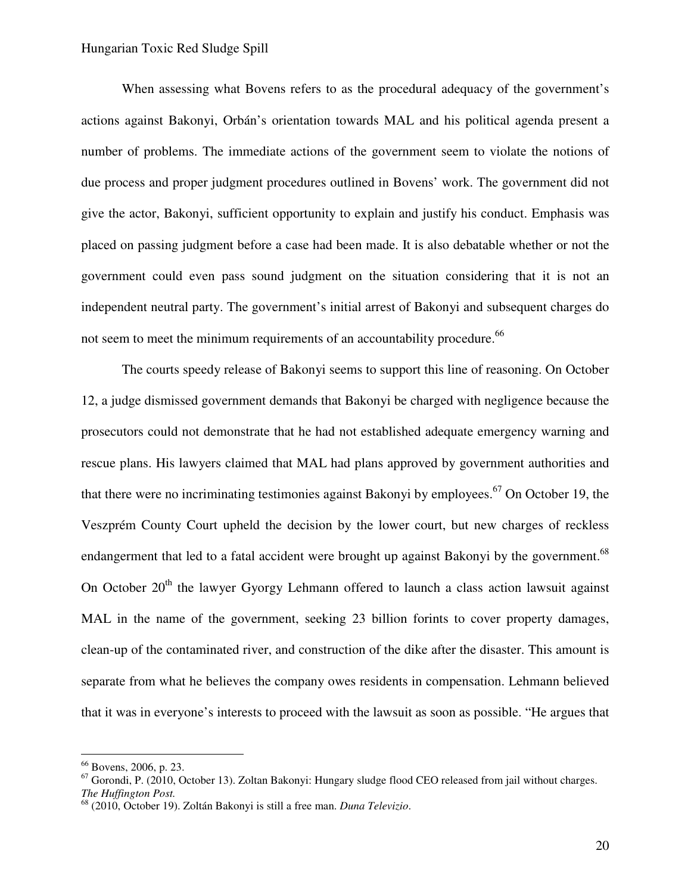When assessing what Bovens refers to as the procedural adequacy of the government's actions against Bakonyi, Orbán's orientation towards MAL and his political agenda present a number of problems. The immediate actions of the government seem to violate the notions of due process and proper judgment procedures outlined in Bovens' work. The government did not give the actor, Bakonyi, sufficient opportunity to explain and justify his conduct. Emphasis was placed on passing judgment before a case had been made. It is also debatable whether or not the government could even pass sound judgment on the situation considering that it is not an independent neutral party. The government's initial arrest of Bakonyi and subsequent charges do not seem to meet the minimum requirements of an accountability procedure.<sup>66</sup>

The courts speedy release of Bakonyi seems to support this line of reasoning. On October 12, a judge dismissed government demands that Bakonyi be charged with negligence because the prosecutors could not demonstrate that he had not established adequate emergency warning and rescue plans. His lawyers claimed that MAL had plans approved by government authorities and that there were no incriminating testimonies against Bakonyi by employees. <sup>67</sup> On October 19, the Veszprém County Court upheld the decision by the lower court, but new charges of reckless endangerment that led to a fatal accident were brought up against Bakonyi by the government.<sup>68</sup> On October  $20<sup>th</sup>$  the lawyer Gyorgy Lehmann offered to launch a class action lawsuit against MAL in the name of the government, seeking 23 billion forints to cover property damages, clean-up of the contaminated river, and construction of the dike after the disaster. This amount is separate from what he believes the company owes residents in compensation. Lehmann believed that it was in everyone's interests to proceed with the lawsuit as soon as possible. "He argues that

<sup>&</sup>lt;sup>66</sup> Bovens, 2006, p. 23.

<sup>&</sup>lt;sup>67</sup> Gorondi, P. (2010, October 13). Zoltan Bakonyi: Hungary sludge flood CEO released from jail without charges. *The Huffington Post.* 

<sup>68</sup> (2010, October 19). Zoltán Bakonyi is still a free man. *Duna Televizio*.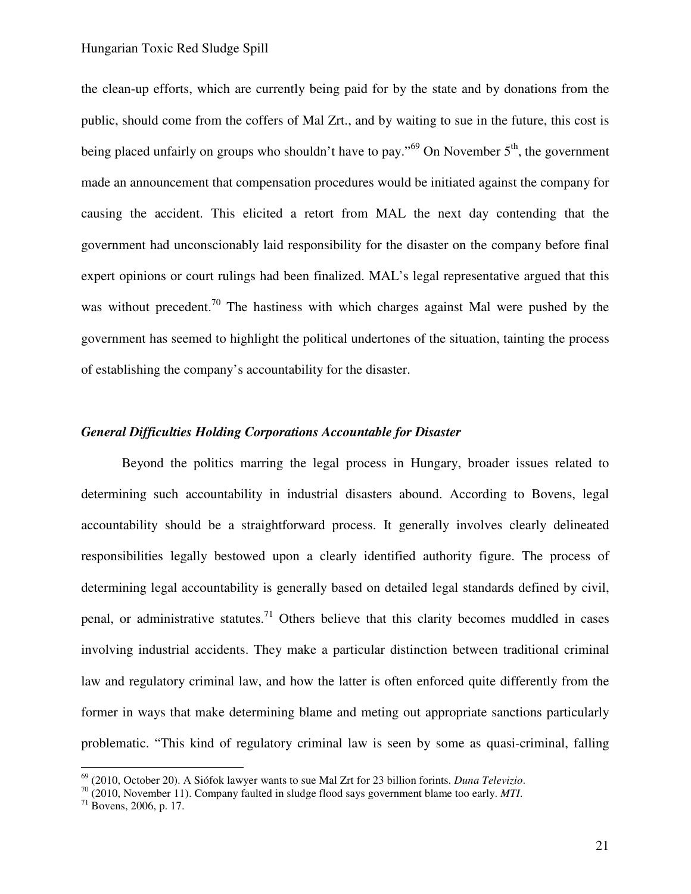the clean-up efforts, which are currently being paid for by the state and by donations from the public, should come from the coffers of Mal Zrt., and by waiting to sue in the future, this cost is being placed unfairly on groups who shouldn't have to pay."<sup>69</sup> On November  $5<sup>th</sup>$ , the government made an announcement that compensation procedures would be initiated against the company for causing the accident. This elicited a retort from MAL the next day contending that the government had unconscionably laid responsibility for the disaster on the company before final expert opinions or court rulings had been finalized. MAL's legal representative argued that this was without precedent.<sup>70</sup> The hastiness with which charges against Mal were pushed by the government has seemed to highlight the political undertones of the situation, tainting the process of establishing the company's accountability for the disaster.

### *General Difficulties Holding Corporations Accountable for Disaster*

 Beyond the politics marring the legal process in Hungary, broader issues related to determining such accountability in industrial disasters abound. According to Bovens, legal accountability should be a straightforward process. It generally involves clearly delineated responsibilities legally bestowed upon a clearly identified authority figure. The process of determining legal accountability is generally based on detailed legal standards defined by civil, penal, or administrative statutes.<sup>71</sup> Others believe that this clarity becomes muddled in cases involving industrial accidents. They make a particular distinction between traditional criminal law and regulatory criminal law, and how the latter is often enforced quite differently from the former in ways that make determining blame and meting out appropriate sanctions particularly problematic. "This kind of regulatory criminal law is seen by some as quasi-criminal, falling

<sup>69</sup> (2010, October 20). A Siófok lawyer wants to sue Mal Zrt for 23 billion forints. *Duna Televizio*.

<sup>70</sup> (2010, November 11). Company faulted in sludge flood says government blame too early. *MTI*.

 $71$  Bovens, 2006, p. 17.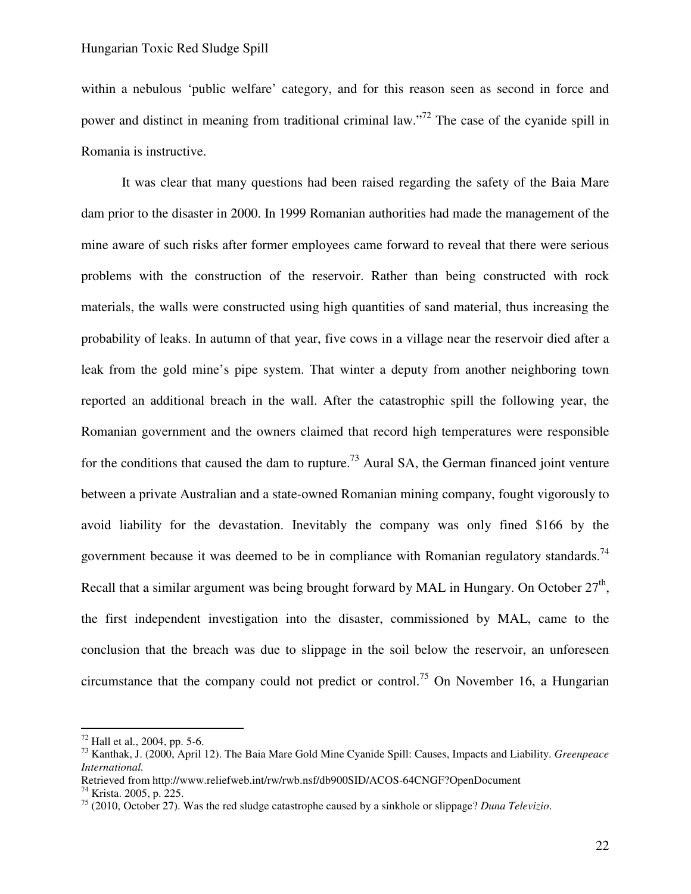within a nebulous 'public welfare' category, and for this reason seen as second in force and power and distinct in meaning from traditional criminal law."<sup>72</sup> The case of the cyanide spill in Romania is instructive.

It was clear that many questions had been raised regarding the safety of the Baia Mare dam prior to the disaster in 2000. In 1999 Romanian authorities had made the management of the mine aware of such risks after former employees came forward to reveal that there were serious problems with the construction of the reservoir. Rather than being constructed with rock materials, the walls were constructed using high quantities of sand material, thus increasing the probability of leaks. In autumn of that year, five cows in a village near the reservoir died after a leak from the gold mine's pipe system. That winter a deputy from another neighboring town reported an additional breach in the wall. After the catastrophic spill the following year, the Romanian government and the owners claimed that record high temperatures were responsible for the conditions that caused the dam to rupture.<sup>73</sup> Aural SA, the German financed joint venture between a private Australian and a state-owned Romanian mining company, fought vigorously to avoid liability for the devastation. Inevitably the company was only fined \$166 by the government because it was deemed to be in compliance with Romanian regulatory standards.<sup>74</sup> Recall that a similar argument was being brought forward by MAL in Hungary. On October  $27<sup>th</sup>$ , the first independent investigation into the disaster, commissioned by MAL, came to the conclusion that the breach was due to slippage in the soil below the reservoir, an unforeseen circumstance that the company could not predict or control.<sup>75</sup> On November 16, a Hungarian

<u>.</u>

 $72$  Hall et al., 2004, pp. 5-6.

<sup>73</sup> Kanthak, J. (2000, April 12). The Baia Mare Gold Mine Cyanide Spill: Causes, Impacts and Liability. *Greenpeace International.* 

Retrieved from http://www.reliefweb.int/rw/rwb.nsf/db900SID/ACOS-64CNGF?OpenDocument

<sup>74</sup> Krista. 2005, p. 225.

<sup>75</sup> (2010, October 27). Was the red sludge catastrophe caused by a sinkhole or slippage? *Duna Televizio*.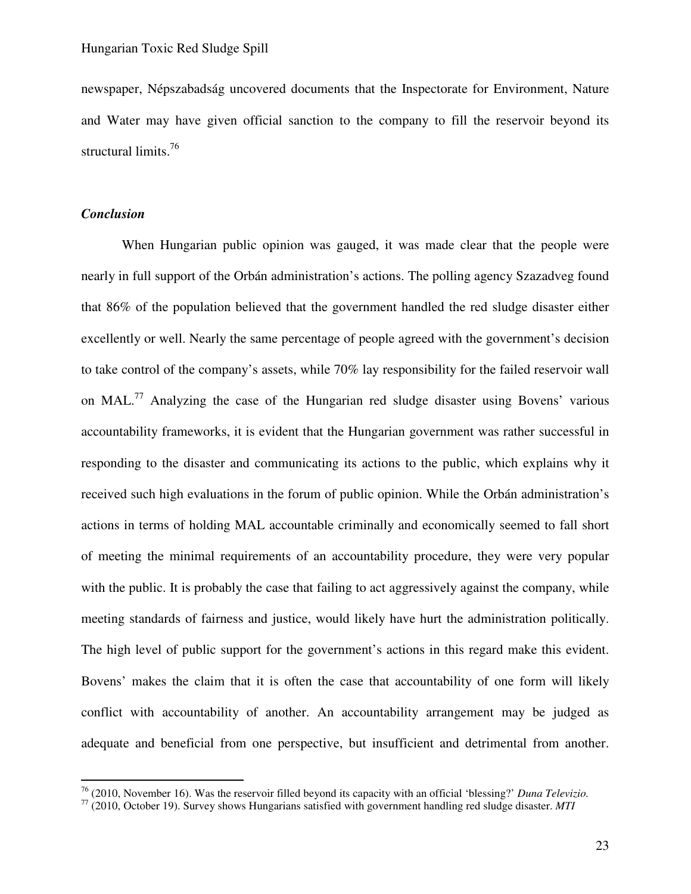newspaper, Népszabadság uncovered documents that the Inspectorate for Environment, Nature and Water may have given official sanction to the company to fill the reservoir beyond its structural limits.<sup>76</sup>

## *Conclusion*

 $\overline{a}$ 

When Hungarian public opinion was gauged, it was made clear that the people were nearly in full support of the Orbán administration's actions. The polling agency Szazadveg found that 86% of the population believed that the government handled the red sludge disaster either excellently or well. Nearly the same percentage of people agreed with the government's decision to take control of the company's assets, while 70% lay responsibility for the failed reservoir wall on MAL.<sup>77</sup> Analyzing the case of the Hungarian red sludge disaster using Bovens' various accountability frameworks, it is evident that the Hungarian government was rather successful in responding to the disaster and communicating its actions to the public, which explains why it received such high evaluations in the forum of public opinion. While the Orbán administration's actions in terms of holding MAL accountable criminally and economically seemed to fall short of meeting the minimal requirements of an accountability procedure, they were very popular with the public. It is probably the case that failing to act aggressively against the company, while meeting standards of fairness and justice, would likely have hurt the administration politically. The high level of public support for the government's actions in this regard make this evident. Bovens' makes the claim that it is often the case that accountability of one form will likely conflict with accountability of another. An accountability arrangement may be judged as adequate and beneficial from one perspective, but insufficient and detrimental from another.

<sup>76</sup> (2010, November 16). Was the reservoir filled beyond its capacity with an official 'blessing?' *Duna Televizio.* 

<sup>77</sup> (2010, October 19). Survey shows Hungarians satisfied with government handling red sludge disaster. *MTI*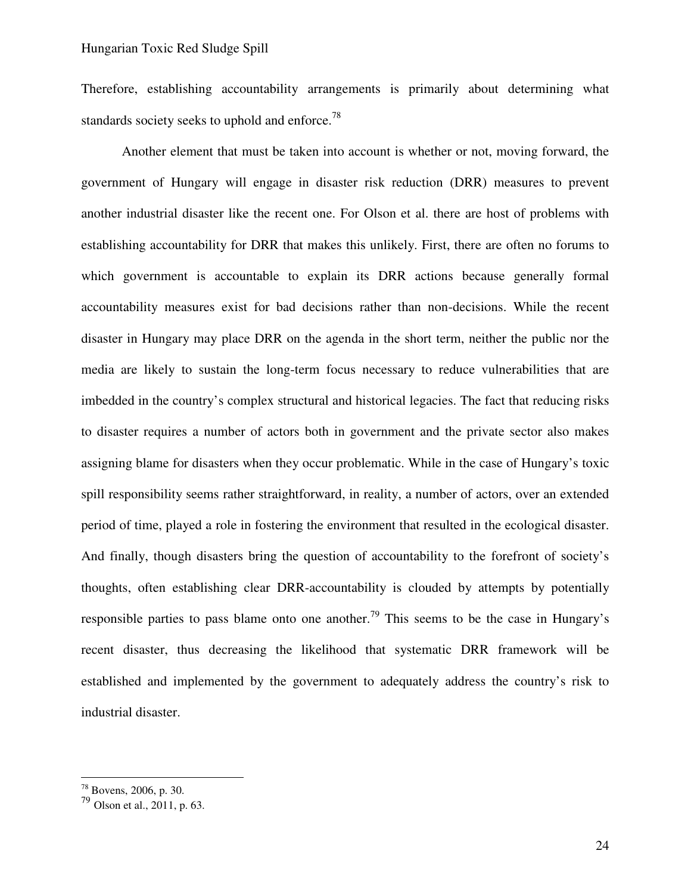Therefore, establishing accountability arrangements is primarily about determining what standards society seeks to uphold and enforce.<sup>78</sup>

Another element that must be taken into account is whether or not, moving forward, the government of Hungary will engage in disaster risk reduction (DRR) measures to prevent another industrial disaster like the recent one. For Olson et al. there are host of problems with establishing accountability for DRR that makes this unlikely. First, there are often no forums to which government is accountable to explain its DRR actions because generally formal accountability measures exist for bad decisions rather than non-decisions. While the recent disaster in Hungary may place DRR on the agenda in the short term, neither the public nor the media are likely to sustain the long-term focus necessary to reduce vulnerabilities that are imbedded in the country's complex structural and historical legacies. The fact that reducing risks to disaster requires a number of actors both in government and the private sector also makes assigning blame for disasters when they occur problematic. While in the case of Hungary's toxic spill responsibility seems rather straightforward, in reality, a number of actors, over an extended period of time, played a role in fostering the environment that resulted in the ecological disaster. And finally, though disasters bring the question of accountability to the forefront of society's thoughts, often establishing clear DRR-accountability is clouded by attempts by potentially responsible parties to pass blame onto one another.<sup>79</sup> This seems to be the case in Hungary's recent disaster, thus decreasing the likelihood that systematic DRR framework will be established and implemented by the government to adequately address the country's risk to industrial disaster.

<sup>78</sup> Bovens, 2006, p. 30.

<sup>79</sup> Olson et al., 2011, p. 63.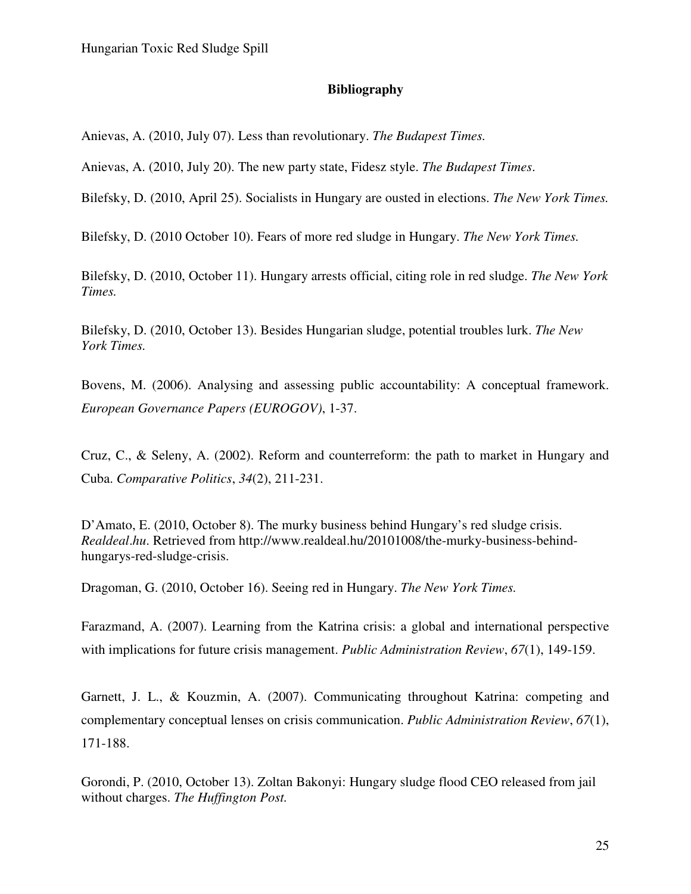#### **Bibliography**

Anievas, A. (2010, July 07). Less than revolutionary. *The Budapest Times.* 

Anievas, A. (2010, July 20). The new party state, Fidesz style. *The Budapest Times*.

Bilefsky, D. (2010, April 25). Socialists in Hungary are ousted in elections. *The New York Times.*

Bilefsky, D. (2010 October 10). Fears of more red sludge in Hungary. *The New York Times.* 

Bilefsky, D. (2010, October 11). Hungary arrests official, citing role in red sludge. *The New York Times.*

Bilefsky, D. (2010, October 13). Besides Hungarian sludge, potential troubles lurk. *The New York Times.* 

Bovens, M. (2006). Analysing and assessing public accountability: A conceptual framework. *European Governance Papers (EUROGOV)*, 1-37.

Cruz, C., & Seleny, A. (2002). Reform and counterreform: the path to market in Hungary and Cuba. *Comparative Politics*, *34*(2), 211-231.

D'Amato, E. (2010, October 8). The murky business behind Hungary's red sludge crisis. *Realdeal*.*hu*. Retrieved from http://www.realdeal.hu/20101008/the-murky-business-behindhungarys-red-sludge-crisis.

Dragoman, G. (2010, October 16). Seeing red in Hungary. *The New York Times.* 

Farazmand, A. (2007). Learning from the Katrina crisis: a global and international perspective with implications for future crisis management. *Public Administration Review*, *67*(1), 149-159.

Garnett, J. L., & Kouzmin, A. (2007). Communicating throughout Katrina: competing and complementary conceptual lenses on crisis communication. *Public Administration Review*, *67*(1), 171-188.

Gorondi, P. (2010, October 13). Zoltan Bakonyi: Hungary sludge flood CEO released from jail without charges. *The Huffington Post.*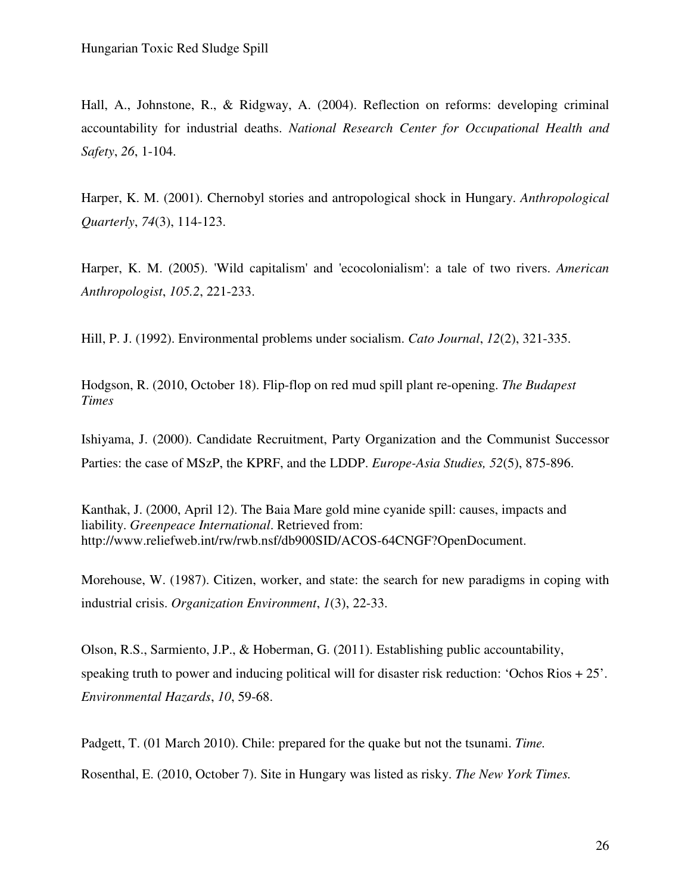Hall, A., Johnstone, R., & Ridgway, A. (2004). Reflection on reforms: developing criminal accountability for industrial deaths. *National Research Center for Occupational Health and Safety*, *26*, 1-104.

Harper, K. M. (2001). Chernobyl stories and antropological shock in Hungary. *Anthropological Quarterly*, *74*(3), 114-123.

Harper, K. M. (2005). 'Wild capitalism' and 'ecocolonialism': a tale of two rivers. *American Anthropologist*, *105.2*, 221-233.

Hill, P. J. (1992). Environmental problems under socialism. *Cato Journal*, *12*(2), 321-335.

Hodgson, R. (2010, October 18). Flip-flop on red mud spill plant re-opening. *The Budapest Times* 

Ishiyama, J. (2000). Candidate Recruitment, Party Organization and the Communist Successor Parties: the case of MSzP, the KPRF, and the LDDP. *Europe-Asia Studies, 52*(5), 875-896.

Kanthak, J. (2000, April 12). The Baia Mare gold mine cyanide spill: causes, impacts and liability. *Greenpeace International*. Retrieved from: http://www.reliefweb.int/rw/rwb.nsf/db900SID/ACOS-64CNGF?OpenDocument.

Morehouse, W. (1987). Citizen, worker, and state: the search for new paradigms in coping with industrial crisis. *Organization Environment*, *1*(3), 22-33.

Olson, R.S., Sarmiento, J.P., & Hoberman, G. (2011). Establishing public accountability, speaking truth to power and inducing political will for disaster risk reduction: 'Ochos Rios + 25'. *Environmental Hazards*, *10*, 59-68.

Padgett, T. (01 March 2010). Chile: prepared for the quake but not the tsunami. *Time.* 

Rosenthal, E. (2010, October 7). Site in Hungary was listed as risky. *The New York Times.*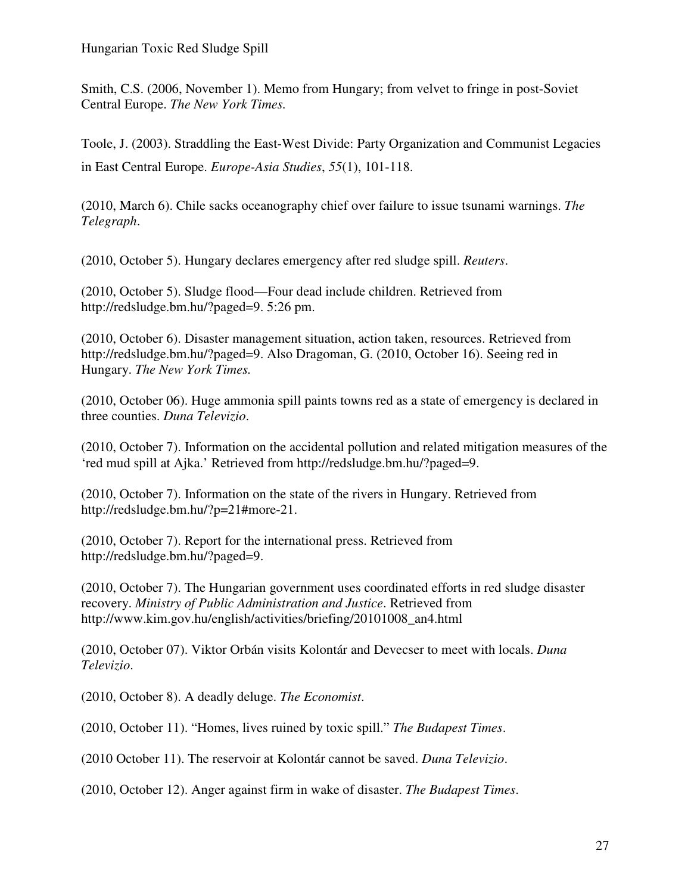Smith, C.S. (2006, November 1). Memo from Hungary; from velvet to fringe in post-Soviet Central Europe. *The New York Times.* 

Toole, J. (2003). Straddling the East-West Divide: Party Organization and Communist Legacies in East Central Europe. *Europe-Asia Studies*, *55*(1), 101-118.

(2010, March 6). Chile sacks oceanography chief over failure to issue tsunami warnings. *The Telegraph*.

(2010, October 5). Hungary declares emergency after red sludge spill. *Reuters*.

(2010, October 5). Sludge flood—Four dead include children. Retrieved from http://redsludge.bm.hu/?paged=9. 5:26 pm.

(2010, October 6). Disaster management situation, action taken, resources. Retrieved from http://redsludge.bm.hu/?paged=9. Also Dragoman, G. (2010, October 16). Seeing red in Hungary. *The New York Times.* 

(2010, October 06). Huge ammonia spill paints towns red as a state of emergency is declared in three counties. *Duna Televizio*.

(2010, October 7). Information on the accidental pollution and related mitigation measures of the 'red mud spill at Ajka.' Retrieved from http://redsludge.bm.hu/?paged=9.

(2010, October 7). Information on the state of the rivers in Hungary. Retrieved from http://redsludge.bm.hu/?p=21#more-21.

(2010, October 7). Report for the international press. Retrieved from http://redsludge.bm.hu/?paged=9.

(2010, October 7). The Hungarian government uses coordinated efforts in red sludge disaster recovery. *Ministry of Public Administration and Justice*. Retrieved from http://www.kim.gov.hu/english/activities/briefing/20101008\_an4.html

(2010, October 07). Viktor Orbán visits Kolontár and Devecser to meet with locals. *Duna Televizio*.

(2010, October 8). A deadly deluge. *The Economist*.

(2010, October 11). "Homes, lives ruined by toxic spill." *The Budapest Times*.

(2010 October 11). The reservoir at Kolontár cannot be saved. *Duna Televizio*.

(2010, October 12). Anger against firm in wake of disaster. *The Budapest Times*.